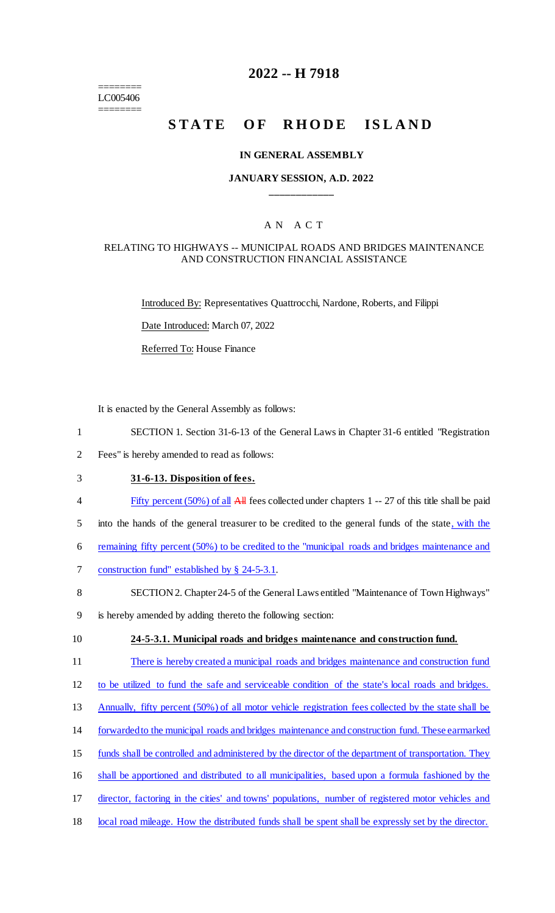======== LC005406 ========

## **2022 -- H 7918**

# STATE OF RHODE ISLAND

#### **IN GENERAL ASSEMBLY**

### **JANUARY SESSION, A.D. 2022 \_\_\_\_\_\_\_\_\_\_\_\_**

### A N A C T

### RELATING TO HIGHWAYS -- MUNICIPAL ROADS AND BRIDGES MAINTENANCE AND CONSTRUCTION FINANCIAL ASSISTANCE

Introduced By: Representatives Quattrocchi, Nardone, Roberts, and Filippi

Date Introduced: March 07, 2022

Referred To: House Finance

It is enacted by the General Assembly as follows:

- 1 SECTION 1. Section 31-6-13 of the General Laws in Chapter 31-6 entitled "Registration
- 2 Fees" is hereby amended to read as follows:
- 3 **31-6-13. Disposition of fees.**
- 4 Fifty percent (50%) of all All fees collected under chapters 1 -- 27 of this title shall be paid
- 5 into the hands of the general treasurer to be credited to the general funds of the state, with the
- 6 remaining fifty percent (50%) to be credited to the "municipal roads and bridges maintenance and
- 7 construction fund" established by § 24-5-3.1.
- 8 SECTION 2. Chapter 24-5 of the General Laws entitled "Maintenance of Town Highways"
- 9 is hereby amended by adding thereto the following section:
- 

#### 10 **24-5-3.1. Municipal roads and bridges maintenance and construction fund.**

11 There is hereby created a municipal roads and bridges maintenance and construction fund

12 to be utilized to fund the safe and serviceable condition of the state's local roads and bridges.

- 13 Annually, fifty percent (50%) of all motor vehicle registration fees collected by the state shall be
- 14 forwarded to the municipal roads and bridges maintenance and construction fund. These earmarked
- 15 funds shall be controlled and administered by the director of the department of transportation. They
- 16 shall be apportioned and distributed to all municipalities, based upon a formula fashioned by the
- 17 director, factoring in the cities' and towns' populations, number of registered motor vehicles and
- 18 local road mileage. How the distributed funds shall be spent shall be expressly set by the director.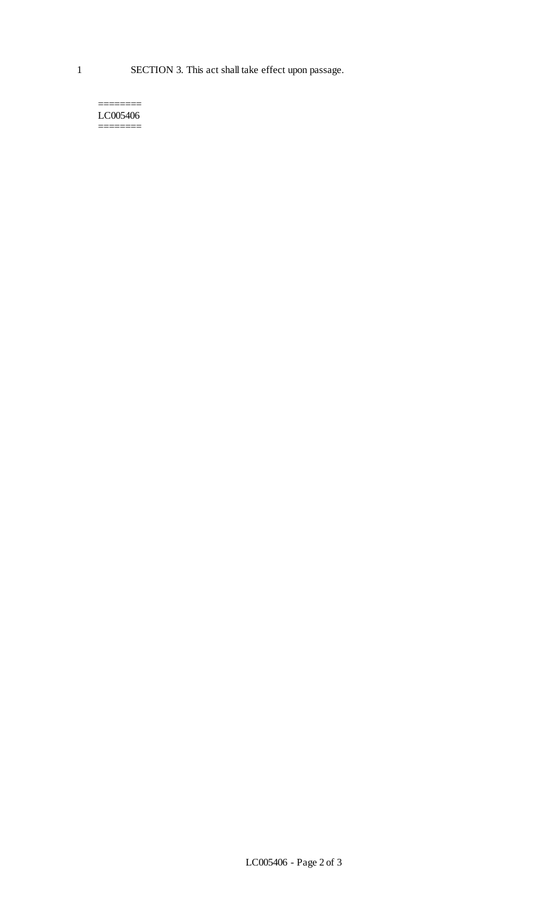1 SECTION 3. This act shall take effect upon passage.

======== LC005406 ========